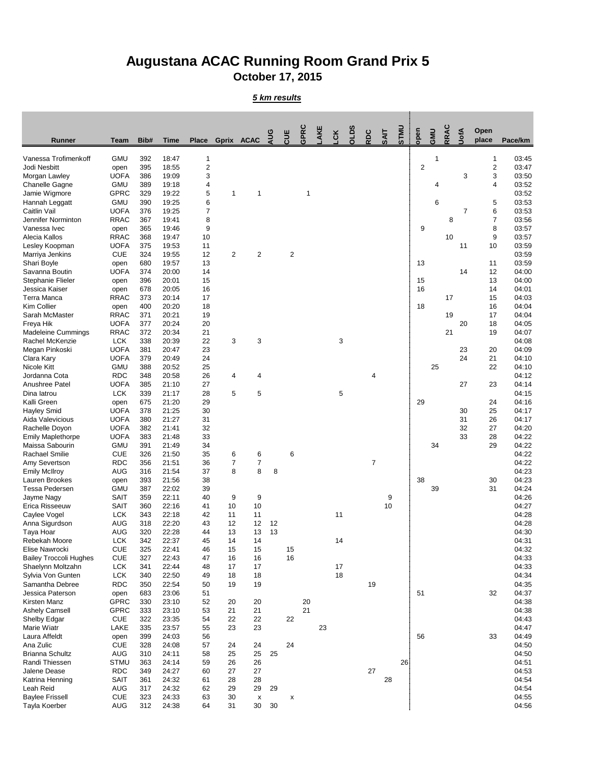## **Augustana ACAC Running Room Grand Prix 5 October 17, 2015**

*5 km results*

| <b>Runner</b>                                | <b>Team</b>                | Bib#       | <b>Time</b>    | <b>Place</b>     | Gprix ACAC     |                                 | <b>AUG</b> | <b>ULE</b>     | GPRC     | AKE | čK | <b>OLDS</b> | RDC            | SAIT | <b>STMU</b>     | open           | GMU | <b>RRAC</b> | JofA           | Open<br>place           | Pace/km        |
|----------------------------------------------|----------------------------|------------|----------------|------------------|----------------|---------------------------------|------------|----------------|----------|-----|----|-------------|----------------|------|-----------------|----------------|-----|-------------|----------------|-------------------------|----------------|
| Vanessa Trofimenkoff                         | <b>GMU</b>                 | 392        | 18:47          | 1                |                |                                 |            |                |          |     |    |             |                |      |                 |                | 1   |             |                | 1                       | 03:45          |
| Jodi Nesbitt                                 | open                       | 395        | 18:55          | $\sqrt{2}$       |                |                                 |            |                |          |     |    |             |                |      |                 | $\overline{2}$ |     |             |                | $\overline{\mathbf{c}}$ | 03:47          |
| Morgan Lawley                                | <b>UOFA</b>                | 386        | 19:09          | $\sqrt{3}$       |                |                                 |            |                |          |     |    |             |                |      |                 |                |     |             | 3              | 3                       | 03:50          |
| <b>Chanelle Gagne</b>                        | <b>GMU</b>                 | 389        | 19:18          | 4                |                |                                 |            |                |          |     |    |             |                |      |                 |                | 4   |             |                | 4                       | 03:52          |
| Jamie Wigmore                                | <b>GPRC</b>                | 329        | 19:22          | 5                | 1              | 1                               |            |                |          |     |    |             |                |      |                 |                |     |             |                |                         | 03:52          |
| Hannah Leggatt                               | <b>GMU</b>                 | 390        | 19:25          | 6                |                |                                 |            |                |          |     |    |             |                |      |                 |                | 6   |             |                | 5                       | 03:53          |
| Caitlin Vail                                 | <b>UOFA</b>                | 376        | 19:25          | $\overline{7}$   |                |                                 |            |                |          |     |    |             |                |      |                 |                |     |             | $\overline{7}$ | 6                       | 03:53          |
| Jennifer Norminton                           | <b>RRAC</b>                | 367        | 19:41          | 8                |                |                                 |            |                |          |     |    |             |                |      |                 |                |     | 8           |                | $\overline{7}$          | 03:56          |
| Vanessa Ivec                                 | open                       | 365        | 19:46          | $\boldsymbol{9}$ |                |                                 |            |                |          |     |    |             |                |      |                 | 9              |     |             |                | 8                       | 03:57          |
| Alecia Kallos<br>Lesley Koopman              | <b>RRAC</b><br><b>UOFA</b> | 368<br>375 | 19:47<br>19:53 | 10<br>11         |                |                                 |            |                |          |     |    |             |                |      |                 |                |     | 10          | 11             | 9<br>10                 | 03:57<br>03:59 |
| Marriya Jenkins                              | <b>CUE</b>                 | 324        | 19:55          | 12               | 2              | $\overline{2}$                  |            | $\overline{2}$ |          |     |    |             |                |      |                 |                |     |             |                |                         | 03:59          |
| Shari Boyle                                  | open                       | 680        | 19:57          | 13               |                |                                 |            |                |          |     |    |             |                |      |                 | 13             |     |             |                | 11                      | 03:59          |
| Savanna Boutin                               | <b>UOFA</b>                | 374        | 20:00          | 14               |                |                                 |            |                |          |     |    |             |                |      |                 |                |     |             | 14             | 12                      | 04:00          |
| Stephanie Flieler                            | open                       | 396        | 20:01          | 15               |                |                                 |            |                |          |     |    |             |                |      |                 | 15             |     |             |                | 13                      | 04:00          |
| Jessica Kaiser                               | open                       | 678        | 20:05          | 16               |                |                                 |            |                |          |     |    |             |                |      |                 | 16             |     |             |                | 14                      | 04:01          |
| Terra Manca                                  | <b>RRAC</b>                | 373        | 20:14          | 17               |                |                                 |            |                |          |     |    |             |                |      |                 |                |     | 17          |                | 15                      | 04:03          |
| Kim Collier                                  | open                       | 400        | 20:20          | 18               |                |                                 |            |                |          |     |    |             |                |      |                 | 18             |     |             |                | 16                      | 04:04          |
| Sarah McMaster                               | <b>RRAC</b>                | 371        | 20:21          | 19               |                |                                 |            |                |          |     |    |             |                |      |                 |                |     | 19          |                | 17                      | 04:04          |
| Freya Hik                                    | <b>UOFA</b><br><b>RRAC</b> | 377        | 20:24<br>20:34 | 20               |                |                                 |            |                |          |     |    |             |                |      |                 |                |     | 21          | 20             | 18                      | 04:05<br>04:07 |
| <b>Madeleine Cummings</b><br>Rachel McKenzie | <b>LCK</b>                 | 372<br>338 | 20:39          | 21<br>22         | 3              | 3                               |            |                |          |     | 3  |             |                |      |                 |                |     |             |                | 19                      | 04:08          |
| Megan Pinkoski                               | <b>UOFA</b>                | 381        | 20:47          | 23               |                |                                 |            |                |          |     |    |             |                |      |                 |                |     |             | 23             | 20                      | 04:09          |
| Clara Kary                                   | <b>UOFA</b>                | 379        | 20:49          | 24               |                |                                 |            |                |          |     |    |             |                |      |                 |                |     |             | 24             | 21                      | 04:10          |
| Nicole Kitt                                  | <b>GMU</b>                 | 388        | 20:52          | 25               |                |                                 |            |                |          |     |    |             |                |      |                 |                | 25  |             |                | 22                      | 04:10          |
| Jordanna Cota                                | <b>RDC</b>                 | 348        | 20:58          | 26               | 4              | 4                               |            |                |          |     |    |             | 4              |      |                 |                |     |             |                |                         | 04:12          |
| Anushree Patel                               | <b>UOFA</b>                | 385        | 21:10          | 27               |                |                                 |            |                |          |     |    |             |                |      |                 |                |     |             | 27             | 23                      | 04:14          |
| Dina latrou                                  | <b>LCK</b>                 | 339        | 21:17          | 28               | 5              | 5                               |            |                |          |     | 5  |             |                |      |                 |                |     |             |                |                         | 04:15          |
| Kalli Green                                  | open                       | 675        | 21:20          | 29               |                |                                 |            |                |          |     |    |             |                |      |                 | 29             |     |             |                | 24                      | 04:16          |
| <b>Hayley Smid</b>                           | <b>UOFA</b>                | 378        | 21:25          | 30               |                |                                 |            |                |          |     |    |             |                |      |                 |                |     |             | 30             | 25                      | 04:17          |
| Aida Valevicious                             | <b>UOFA</b><br><b>UOFA</b> | 380        | 21:27          | 31               |                |                                 |            |                |          |     |    |             |                |      |                 |                |     |             | 31             | 26<br>27                | 04:17          |
| Rachelle Doyon<br><b>Emily Maplethorpe</b>   | <b>UOFA</b>                | 382<br>383 | 21:41<br>21:48 | 32<br>33         |                |                                 |            |                |          |     |    |             |                |      |                 |                |     |             | 32<br>33       | 28                      | 04:20<br>04:22 |
| Maissa Sabourin                              | <b>GMU</b>                 | 391        | 21:49          | 34               |                |                                 |            |                |          |     |    |             |                |      |                 |                | 34  |             |                | 29                      | 04:22          |
| <b>Rachael Smilie</b>                        | <b>CUE</b>                 | 326        | 21:50          | 35               | 6              | 6                               |            | 6              |          |     |    |             |                |      |                 |                |     |             |                |                         | 04:22          |
| Amy Severtson                                | <b>RDC</b>                 | 356        | 21:51          | 36               | $\overline{7}$ | $\overline{7}$                  |            |                |          |     |    |             | $\overline{7}$ |      |                 |                |     |             |                |                         | 04:22          |
| <b>Emily McIlroy</b>                         | <b>AUG</b>                 | 316        | 21:54          | 37               | 8              | 8                               | 8          |                |          |     |    |             |                |      |                 |                |     |             |                |                         | 04:23          |
| Lauren Brookes                               | open                       | 393        | 21:56          | 38               |                |                                 |            |                |          |     |    |             |                |      |                 | 38             |     |             |                | 30                      | 04:23          |
| <b>Tessa Pedersen</b>                        | <b>GMU</b>                 | 387        | 22:02          | 39               |                |                                 |            |                |          |     |    |             |                |      |                 |                | 39  |             |                | 31                      | 04:24          |
| Jayme Nagy                                   | <b>SAIT</b>                | 359        | 22:11          | 40               | 9              | 9                               |            |                |          |     |    |             |                | 9    |                 |                |     |             |                |                         | 04:26          |
| Erica Risseeuw                               | <b>SAIT</b>                | 360        | 22:16          | 41               | 10             | 10                              |            |                |          |     |    |             |                | 10   |                 |                |     |             |                |                         | 04:27          |
| Caylee Vogel<br>Anna Sigurdson               | <b>LCK</b><br><b>AUG</b>   | 343<br>318 | 22:18<br>22:20 | 42<br>43         | 11<br>12       | 11<br>12                        | 12         |                |          |     | 11 |             |                |      |                 |                |     |             |                |                         | 04:28<br>04:28 |
| Taya Hoar                                    | <b>AUG</b>                 | 320        | 22:28          | 44               | 13             | 13                              | 13         |                |          |     |    |             |                |      |                 |                |     |             |                |                         | 04:30          |
| Rebekah Moore                                | <b>LCK</b>                 | 342        | 22:37          | 45               | 14             | 14                              |            |                |          |     | 14 |             |                |      |                 |                |     |             |                |                         | 04:31          |
| Elise Nawrocki                               | <b>CUE</b>                 | 325        | 22:41          | 46               | 15             | 15                              |            | 15             |          |     |    |             |                |      |                 |                |     |             |                |                         | 04:32          |
| <b>Bailey Troccoli Hughes</b>                | <b>CUE</b>                 | 327        | 22:43          | 47               | 16             | 16                              |            | 16             |          |     |    |             |                |      |                 |                |     |             |                |                         | 04:33          |
| Shaelynn Moltzahn                            | <b>LCK</b>                 | 341        | 22:44          | 48               | 17             | 17                              |            |                |          |     | 17 |             |                |      |                 |                |     |             |                |                         | 04:33          |
| Sylvia Von Gunten                            | <b>LCK</b>                 | 340        | 22:50          | 49               | 18             | 18                              |            |                |          |     | 18 |             |                |      |                 |                |     |             |                |                         | 04:34          |
| Samantha Debree                              | <b>RDC</b>                 | 350        | 22:54          | 50               | 19             | 19                              |            |                |          |     |    |             | 19             |      |                 |                |     |             |                |                         | 04:35          |
| Jessica Paterson                             | open                       | 683        | 23:06          | 51               |                |                                 |            |                |          |     |    |             |                |      |                 | 51             |     |             |                | 32                      | 04:37          |
| Kirsten Manz<br><b>Ashely Camsell</b>        | <b>GPRC</b><br><b>GPRC</b> | 330<br>333 | 23:10<br>23:10 | 52<br>53         | 20<br>21       | 20<br>21                        |            |                | 20<br>21 |     |    |             |                |      |                 |                |     |             |                |                         | 04:38<br>04:38 |
| Shelby Edgar                                 | <b>CUE</b>                 | 322        | 23:35          | 54               | 22             | 22                              |            | 22             |          |     |    |             |                |      |                 |                |     |             |                |                         | 04:43          |
| Marie Wiatr                                  | LAKE                       | 335        | 23:57          | 55               | 23             | 23                              |            |                |          | 23  |    |             |                |      |                 |                |     |             |                |                         | 04:47          |
| Laura Affeldt                                | open                       | 399        | 24:03          | 56               |                |                                 |            |                |          |     |    |             |                |      |                 | 56             |     |             |                | 33                      | 04:49          |
| Ana Zulic                                    | <b>CUE</b>                 | 328        | 24:08          | 57               | 24             | 24                              |            | 24             |          |     |    |             |                |      |                 |                |     |             |                |                         | 04:50          |
| <b>Brianna Schultz</b>                       | <b>AUG</b>                 | 310        | 24:11          | 58               | 25             | 25                              | 25         |                |          |     |    |             |                |      |                 |                |     |             |                |                         | 04:50          |
| Randi Thiessen                               | <b>STMU</b>                | 363        | 24:14          | 59               | 26             | 26                              |            |                |          |     |    |             |                |      | 26 <sup>2</sup> |                |     |             |                |                         | 04:51          |
| Jalene Dease                                 | <b>RDC</b>                 | 349        | 24:27          | 60               | 27             | 27                              |            |                |          |     |    |             | 27             |      |                 |                |     |             |                |                         | 04:53          |
| Katrina Henning                              | <b>SAIT</b>                | 361        | 24:32          | 61               | 28             | 28                              |            |                |          |     |    |             |                | 28   |                 |                |     |             |                |                         | 04:54          |
| Leah Reid                                    | <b>AUG</b>                 | 317        | 24:32          | 62               | 29             | 29                              | 29         |                |          |     |    |             |                |      |                 |                |     |             |                |                         | 04:54          |
| <b>Baylee Frissell</b><br>Tayla Koerber      | <b>CUE</b><br><b>AUG</b>   | 323<br>312 | 24:33<br>24:38 | 63<br>64         | 30<br>31       | $\boldsymbol{\mathsf{x}}$<br>30 | 30         | X              |          |     |    |             |                |      |                 |                |     |             |                |                         | 04:55<br>04:56 |
|                                              |                            |            |                |                  |                |                                 |            |                |          |     |    |             |                |      |                 |                |     |             |                |                         |                |